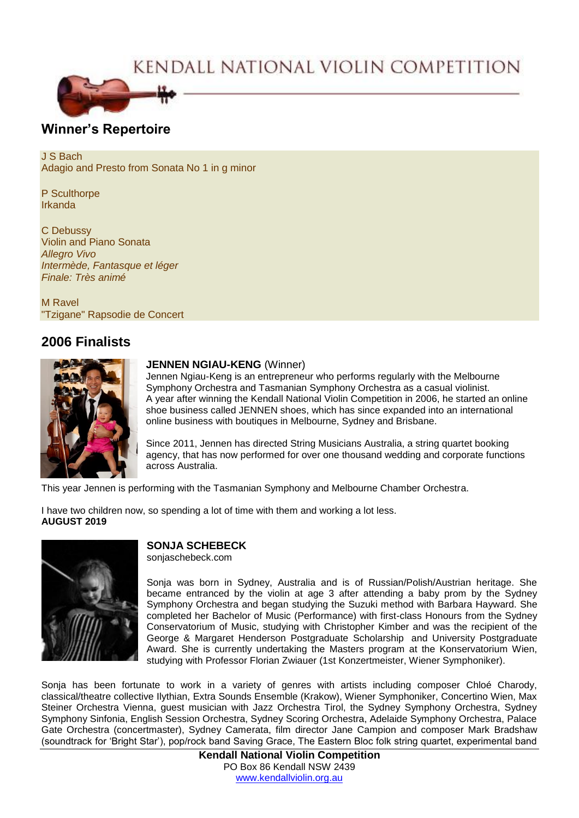# KENDALL NATIONAL VIOLIN COMPETITION



## **Winner's Repertoire**

J S Bach Adagio and Presto from Sonata No 1 in g minor

P Sculthorpe Irkanda

C Debussy Violin and Piano Sonata *Allegro Vivo Intermède, Fantasque et léger Finale: Très animé*

M Ravel "Tzigane" Rapsodie de Concert

## **2006 Finalists**



### **JENNEN NGIAU-KENG** (Winner)

Jennen Ngiau-Keng is an entrepreneur who performs regularly with the Melbourne Symphony Orchestra and Tasmanian Symphony Orchestra as a casual violinist. A year after winning the Kendall National Violin Competition in 2006, he started an online shoe business called JENNEN shoes, which has since expanded into an international online business with boutiques in Melbourne, Sydney and Brisbane.

Since 2011, Jennen has directed String Musicians Australia, a string quartet booking agency, that has now performed for over one thousand wedding and corporate functions across Australia.

This year Jennen is performing with the Tasmanian Symphony and Melbourne Chamber Orchestra.

I have two children now, so spending a lot of time with them and working a lot less. **AUGUST 2019**



## **SONJA SCHEBECK**

sonjaschebeck.com

Sonja was born in Sydney, Australia and is of Russian/Polish/Austrian heritage. She became entranced by the violin at age 3 after attending a baby prom by the Sydney Symphony Orchestra and began studying the Suzuki method with Barbara Hayward. She completed her Bachelor of Music (Performance) with first-class Honours from the Sydney Conservatorium of Music, studying with Christopher Kimber and was the recipient of the George & Margaret Henderson Postgraduate Scholarship and University Postgraduate Award. She is currently undertaking the Masters program at the Konservatorium Wien, studying with Professor Florian Zwiauer (1st Konzertmeister, Wiener Symphoniker).

Sonja has been fortunate to work in a variety of genres with artists including composer Chloé Charody, classical/theatre collective Ilythian, Extra Sounds Ensemble (Krakow), Wiener Symphoniker, Concertino Wien, Max Steiner Orchestra Vienna, guest musician with Jazz Orchestra Tirol, the Sydney Symphony Orchestra, Sydney Symphony Sinfonia, English Session Orchestra, Sydney Scoring Orchestra, Adelaide Symphony Orchestra, Palace Gate Orchestra (concertmaster), Sydney Camerata, film director Jane Campion and composer Mark Bradshaw (soundtrack for 'Bright Star'), pop/rock band Saving Grace, The Eastern Bloc folk string quartet, experimental band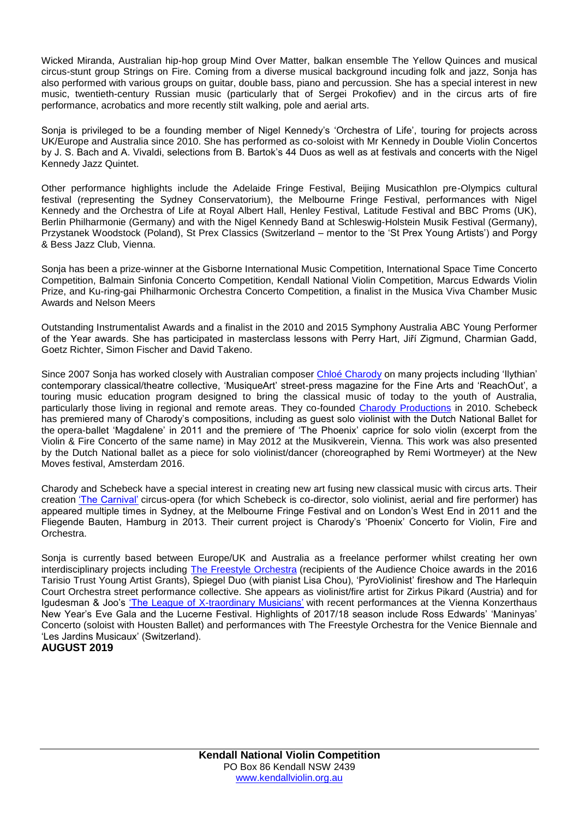Wicked Miranda, Australian hip-hop group Mind Over Matter, balkan ensemble The Yellow Quinces and musical circus-stunt group Strings on Fire. Coming from a diverse musical background incuding folk and jazz, Sonja has also performed with various groups on guitar, double bass, piano and percussion. She has a special interest in new music, twentieth-century Russian music (particularly that of Sergei Prokofiev) and in the circus arts of fire performance, acrobatics and more recently stilt walking, pole and aerial arts.

Sonja is privileged to be a founding member of Nigel Kennedy's 'Orchestra of Life', touring for projects across UK/Europe and Australia since 2010. She has performed as co-soloist with Mr Kennedy in Double Violin Concertos by J. S. Bach and A. Vivaldi, selections from B. Bartok's 44 Duos as well as at festivals and concerts with the Nigel Kennedy Jazz Quintet.

Other performance highlights include the Adelaide Fringe Festival, Beijing Musicathlon pre-Olympics cultural festival (representing the Sydney Conservatorium), the Melbourne Fringe Festival, performances with Nigel Kennedy and the Orchestra of Life at Royal Albert Hall, Henley Festival, Latitude Festival and BBC Proms (UK), Berlin Philharmonie (Germany) and with the Nigel Kennedy Band at Schleswig-Holstein Musik Festival (Germany), Przystanek Woodstock (Poland), St Prex Classics (Switzerland – mentor to the 'St Prex Young Artists') and Porgy & Bess Jazz Club, Vienna.

Sonja has been a prize-winner at the Gisborne International Music Competition, International Space Time Concerto Competition, Balmain Sinfonia Concerto Competition, Kendall National Violin Competition, Marcus Edwards Violin Prize, and Ku-ring-gai Philharmonic Orchestra Concerto Competition, a finalist in the Musica Viva Chamber Music Awards and Nelson Meers

Outstanding Instrumentalist Awards and a finalist in the 2010 and 2015 Symphony Australia ABC Young Performer of the Year awards. She has participated in masterclass lessons with Perry Hart, Jiří Zigmund, Charmian Gadd, Goetz Richter, Simon Fischer and David Takeno.

Since 2007 Sonja has worked closely with Australian composer Chloé [Charody](http://composerchloecharody.com/) on many projects including 'Ilythian' contemporary classical/theatre collective, 'MusiqueArt' street-press magazine for the Fine Arts and 'ReachOut', a touring music education program designed to bring the classical music of today to the youth of Australia, particularly those living in regional and remote areas. They co-founded Charody [Productions](http://charodyproductions.com/) in 2010. Schebeck has premiered many of Charody's compositions, including as guest solo violinist with the Dutch National Ballet for the opera-ballet 'Magdalene' in 2011 and the premiere of 'The Phoenix' caprice for solo violin (excerpt from the Violin & Fire Concerto of the same name) in May 2012 at the Musikverein, Vienna. This work was also presented by the Dutch National ballet as a piece for solo violinist/dancer (choreographed by Remi Wortmeyer) at the New Moves festival, Amsterdam 2016.

Charody and Schebeck have a special interest in creating new art fusing new classical music with circus arts. Their creation 'The [Carnival'](http://charodyproductions.com/our-creations/thecarnival/) circus-opera (for which Schebeck is co-director, solo violinist, aerial and fire performer) has appeared multiple times in Sydney, at the Melbourne Fringe Festival and on London's West End in 2011 and the Fliegende Bauten, Hamburg in 2013. Their current project is Charody's 'Phoenix' Concerto for Violin, Fire and Orchestra.

Sonja is currently based between Europe/UK and Australia as a freelance performer whilst creating her own interdisciplinary projects including The Freestyle [Orchestra](http://www.thefreestyleorchestra.com/) (recipients of the Audience Choice awards in the 2016 Tarisio Trust Young Artist Grants), Spiegel Duo (with pianist Lisa Chou), 'PyroViolinist' fireshow and The Harlequin Court Orchestra street performance collective. She appears as violinist/fire artist for Zirkus Pikard (Austria) and for Igudesman & Joo's 'The League of [X-traordinary](http://www.igudesmanandjoo.com/the-league-of-x-traordinary-musicians/) Musicians' with recent performances at the Vienna Konzerthaus New Year's Eve Gala and the Lucerne Festival. Highlights of 2017/18 season include Ross Edwards' 'Maninyas' Concerto (soloist with Housten Ballet) and performances with The Freestyle Orchestra for the Venice Biennale and 'Les Jardins Musicaux' (Switzerland).

### **AUGUST 2019**